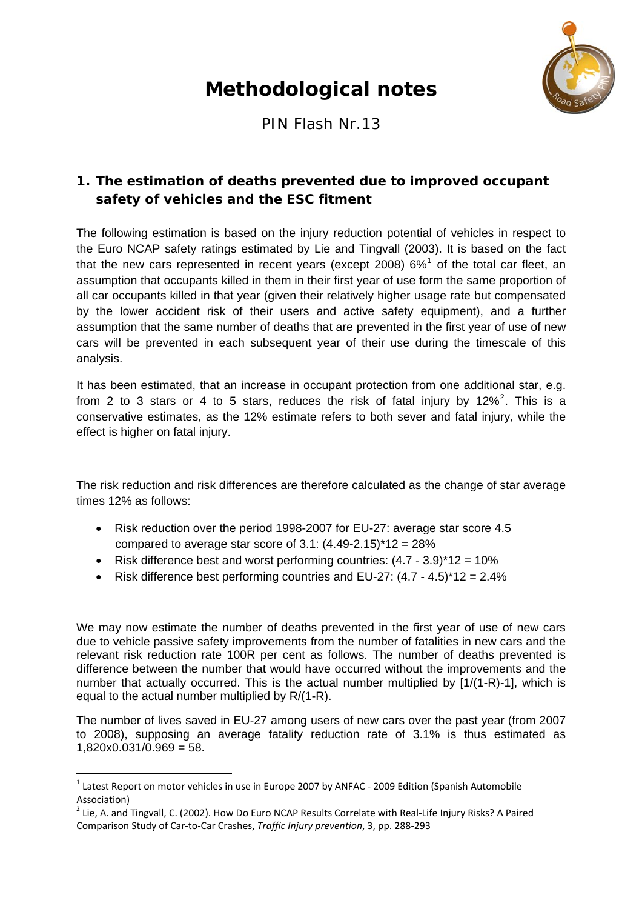# **Methodological notes**



PIN Flash Nr.13

# **1. The estimation of deaths prevented due to improved occupant safety of vehicles and the ESC fitment**

The following estimation is based on the injury reduction potential of vehicles in respect to the Euro NCAP safety ratings estimated by Lie and Tingvall (2003). It is based on the fact that the new cars represented in recent years (except 2008)  $6\%$ <sup>[1](#page-0-0)</sup> of the total car fleet, an assumption that occupants killed in them in their first year of use form the same proportion of all car occupants killed in that year (given their relatively higher usage rate but compensated by the lower accident risk of their users and active safety equipment), and a further assumption that the same number of deaths that are prevented in the first year of use of new cars will be prevented in each subsequent year of their use during the timescale of this analysis.

It has been estimated, that an increase in occupant protection from one additional star, e.g. from [2](#page-0-1) to 3 stars or 4 to 5 stars, reduces the risk of fatal injury by  $12\%^2$ . This is a conservative estimates, as the 12% estimate refers to both sever and fatal injury, while the effect is higher on fatal injury.

The risk reduction and risk differences are therefore calculated as the change of star average times 12% as follows:

- Risk reduction over the period 1998-2007 for EU-27: average star score 4.5 compared to average star score of  $3.1: (4.49-2.15)^*12 = 28\%$
- Risk difference best and worst performing countries:  $(4.7 3.9)^*12 = 10\%$
- Risk difference best performing countries and  $EU-27: (4.7 4.5)^*12 = 2.4\%$

We may now estimate the number of deaths prevented in the first year of use of new cars due to vehicle passive safety improvements from the number of fatalities in new cars and the relevant risk reduction rate 100R per cent as follows. The number of deaths prevented is difference between the number that would have occurred without the improvements and the number that actually occurred. This is the actual number multiplied by [1/(1-R)-1], which is equal to the actual number multiplied by R/(1-R).

The number of lives saved in EU-27 among users of new cars over the past year (from 2007 to 2008), supposing an average fatality reduction rate of 3.1% is thus estimated as  $1,820 \times 0.031 / 0.969 = 58.$ 

<span id="page-0-0"></span> $1$  Latest Report on motor [vehicles](http://www.acea.be/images/uploads/files/20090218_EU_Motor_Vehicles_in_Use_2007.pdf) in use in Europe 2007 by ANFAC - 2009 Edition (Spanish Automobile Association)

<span id="page-0-1"></span> $2$  Lie, A. and Tingvall, C. (2002). How Do Euro NCAP Results Correlate with Real-Life Injury Risks? A Paired Comparison Study of Car‐to‐Car Crashes, *Traffic Injury prevention*, 3, pp. 288‐293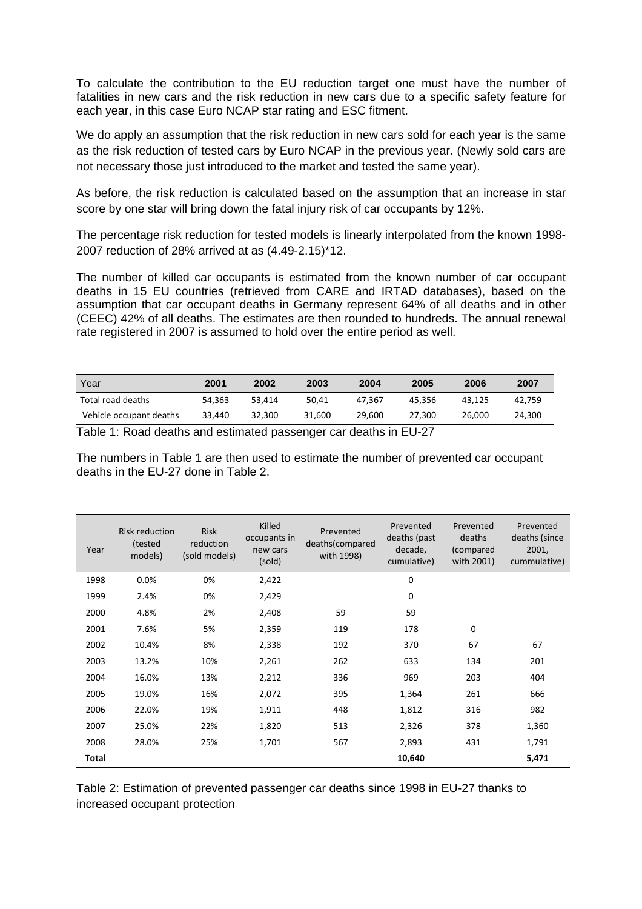To calculate the contribution to the EU reduction target one must have the number of fatalities in new cars and the risk reduction in new cars due to a specific safety feature for each year, in this case Euro NCAP star rating and ESC fitment.

We do apply an assumption that the risk reduction in new cars sold for each year is the same as the risk reduction of tested cars by Euro NCAP in the previous year. (Newly sold cars are not necessary those just introduced to the market and tested the same year).

As before, the risk reduction is calculated based on the assumption that an increase in star score by one star will bring down the fatal injury risk of car occupants by 12%.

The percentage risk reduction for tested models is linearly interpolated from the known 1998- 2007 reduction of 28% arrived at as (4.49-2.15)\*12.

The number of killed car occupants is estimated from the known number of car occupant deaths in 15 EU countries (retrieved from CARE and IRTAD databases), based on the assumption that car occupant deaths in Germany represent 64% of all deaths and in other (CEEC) 42% of all deaths. The estimates are then rounded to hundreds. The annual renewal rate registered in 2007 is assumed to hold over the entire period as well.

| Year                    | 2001   | 2002   | 2003   | 2004   | 2005   | 2006   | 2007   |
|-------------------------|--------|--------|--------|--------|--------|--------|--------|
| Total road deaths       | 54.363 | 53.414 | 50.41  | 47.367 | 45.356 | 43.125 | 42.759 |
| Vehicle occupant deaths | 33.440 | 32.300 | 31.600 | 29.600 | 27.300 | 26,000 | 24.300 |

Table 1: Road deaths and estimated passenger car deaths in EU-27

The numbers in Table 1 are then used to estimate the number of prevented car occupant deaths in the EU-27 done in Table 2.

| Year  | <b>Risk reduction</b><br>(tested<br>models) | <b>Risk</b><br>reduction<br>(sold models) | Killed<br>occupants in<br>new cars<br>(sold) | Prevented<br>deaths(compared<br>with 1998) | Prevented<br>deaths (past<br>decade,<br>cumulative) | Prevented<br>deaths<br>(compared<br>with 2001) | Prevented<br>deaths (since<br>2001,<br>cummulative) |
|-------|---------------------------------------------|-------------------------------------------|----------------------------------------------|--------------------------------------------|-----------------------------------------------------|------------------------------------------------|-----------------------------------------------------|
| 1998  | 0.0%                                        | 0%                                        | 2,422                                        |                                            | 0                                                   |                                                |                                                     |
| 1999  | 2.4%                                        | 0%                                        | 2,429                                        |                                            | 0                                                   |                                                |                                                     |
| 2000  | 4.8%                                        | 2%                                        | 2,408                                        | 59                                         | 59                                                  |                                                |                                                     |
| 2001  | 7.6%                                        | 5%                                        | 2,359                                        | 119                                        | 178                                                 | 0                                              |                                                     |
| 2002  | 10.4%                                       | 8%                                        | 2,338                                        | 192                                        | 370                                                 | 67                                             | 67                                                  |
| 2003  | 13.2%                                       | 10%                                       | 2,261                                        | 262                                        | 633                                                 | 134                                            | 201                                                 |
| 2004  | 16.0%                                       | 13%                                       | 2,212                                        | 336                                        | 969                                                 | 203                                            | 404                                                 |
| 2005  | 19.0%                                       | 16%                                       | 2,072                                        | 395                                        | 1,364                                               | 261                                            | 666                                                 |
| 2006  | 22.0%                                       | 19%                                       | 1,911                                        | 448                                        | 1,812                                               | 316                                            | 982                                                 |
| 2007  | 25.0%                                       | 22%                                       | 1,820                                        | 513                                        | 2,326                                               | 378                                            | 1,360                                               |
| 2008  | 28.0%                                       | 25%                                       | 1,701                                        | 567                                        | 2,893                                               | 431                                            | 1,791                                               |
| Total |                                             |                                           |                                              |                                            | 10,640                                              |                                                | 5,471                                               |

Table 2: Estimation of prevented passenger car deaths since 1998 in EU-27 thanks to increased occupant protection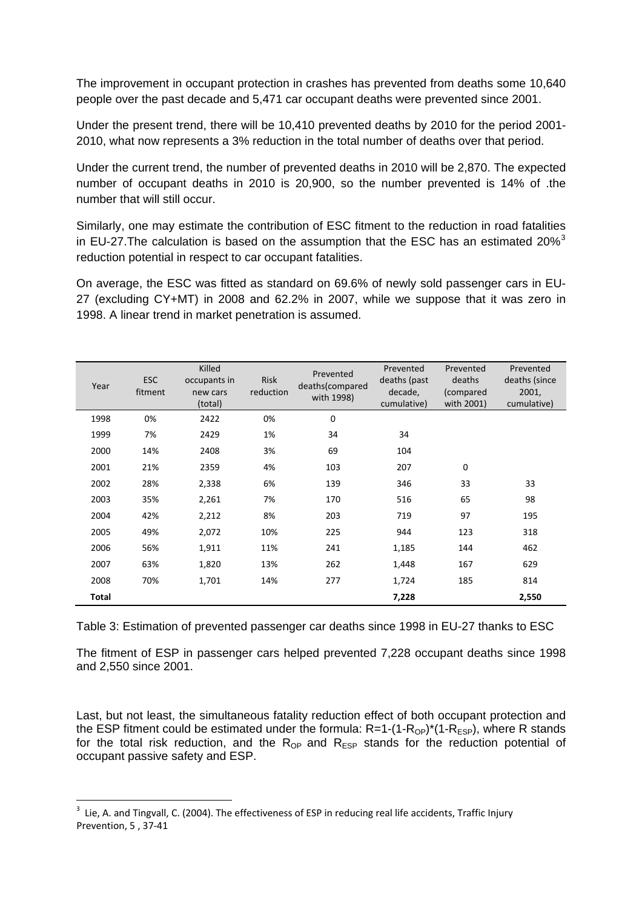The improvement in occupant protection in crashes has prevented from deaths some 10,640 people over the past decade and 5,471 car occupant deaths were prevented since 2001.

Under the present trend, there will be 10,410 prevented deaths by 2010 for the period 2001- 2010, what now represents a 3% reduction in the total number of deaths over that period.

Under the current trend, the number of prevented deaths in 2010 will be 2,870. The expected number of occupant deaths in 2010 is 20,900, so the number prevented is 14% of .the number that will still occur.

Similarly, one may estimate the contribution of ESC fitment to the reduction in road fatalities in EU-27. The calculation is based on the assumption that the ESC has an estimated 20% $3$ reduction potential in respect to car occupant fatalities.

On average, the ESC was fitted as standard on 69.6% of newly sold passenger cars in EU-27 (excluding CY+MT) in 2008 and 62.2% in 2007, while we suppose that it was zero in 1998. A linear trend in market penetration is assumed.

| Year  | <b>ESC</b><br>fitment | Killed<br>occupants in<br>new cars<br>(total) | Risk<br>reduction | Prevented<br>deaths(compared<br>with 1998) | Prevented<br>deaths (past<br>decade,<br>cumulative) | Prevented<br>deaths<br>(compared<br>with 2001) | Prevented<br>deaths (since<br>2001,<br>cumulative) |
|-------|-----------------------|-----------------------------------------------|-------------------|--------------------------------------------|-----------------------------------------------------|------------------------------------------------|----------------------------------------------------|
| 1998  | 0%                    | 2422                                          | 0%                | 0                                          |                                                     |                                                |                                                    |
| 1999  | 7%                    | 2429                                          | 1%                | 34                                         | 34                                                  |                                                |                                                    |
| 2000  | 14%                   | 2408                                          | 3%                | 69                                         | 104                                                 |                                                |                                                    |
| 2001  | 21%                   | 2359                                          | 4%                | 103                                        | 207                                                 | $\mathbf 0$                                    |                                                    |
| 2002  | 28%                   | 2,338                                         | 6%                | 139                                        | 346                                                 | 33                                             | 33                                                 |
| 2003  | 35%                   | 2,261                                         | 7%                | 170                                        | 516                                                 | 65                                             | 98                                                 |
| 2004  | 42%                   | 2,212                                         | 8%                | 203                                        | 719                                                 | 97                                             | 195                                                |
| 2005  | 49%                   | 2,072                                         | 10%               | 225                                        | 944                                                 | 123                                            | 318                                                |
| 2006  | 56%                   | 1,911                                         | 11%               | 241                                        | 1,185                                               | 144                                            | 462                                                |
| 2007  | 63%                   | 1,820                                         | 13%               | 262                                        | 1,448                                               | 167                                            | 629                                                |
| 2008  | 70%                   | 1,701                                         | 14%               | 277                                        | 1,724                                               | 185                                            | 814                                                |
| Total |                       |                                               |                   |                                            | 7,228                                               |                                                | 2,550                                              |

Table 3: Estimation of prevented passenger car deaths since 1998 in EU-27 thanks to ESC

The fitment of ESP in passenger cars helped prevented 7,228 occupant deaths since 1998 and 2,550 since 2001.

Last, but not least, the simultaneous fatality reduction effect of both occupant protection and the ESP fitment could be estimated under the formula:  $R=1-(1-R_{\text{OP}})^*(1-R_{\text{ESP}})$ , where R stands for the total risk reduction, and the  $R_{OP}$  and  $R_{ESP}$  stands for the reduction potential of occupant passive safety and ESP.

<span id="page-2-0"></span> $3$  Lie, A. and Tingvall, C. (2004). The effectiveness of ESP in reducing real life accidents, Traffic Injury Prevention, 5 , 37‐41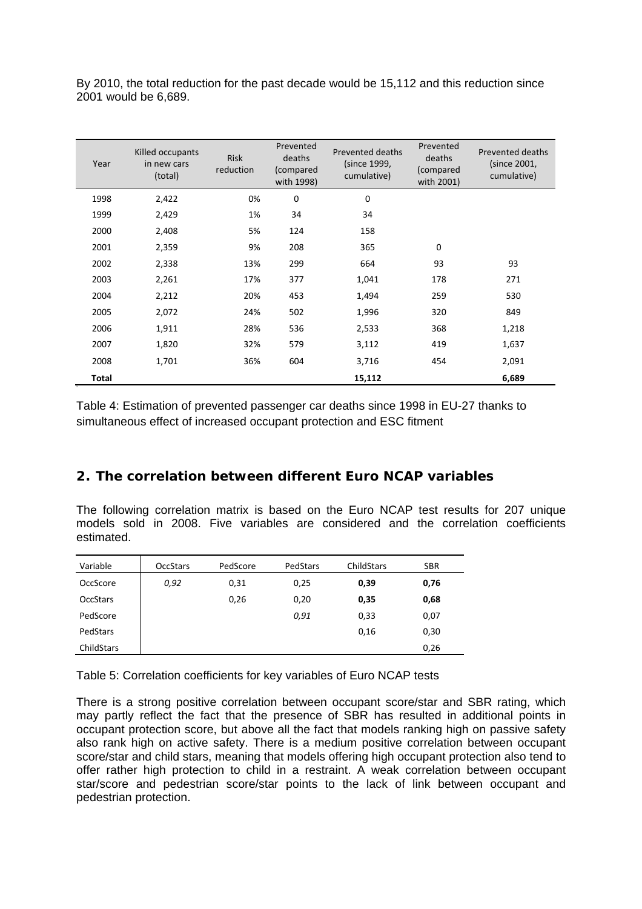By 2010, the total reduction for the past decade would be 15,112 and this reduction since 2001 would be 6,689.

| Year  | Killed occupants<br>in new cars<br>(total) | <b>Risk</b><br>reduction | Prevented<br>deaths<br>(compared<br>with 1998) | Prevented deaths<br>(since 1999,<br>cumulative) | Prevented<br>deaths<br>(compared<br>with 2001) | Prevented deaths<br>(since 2001,<br>cumulative) |
|-------|--------------------------------------------|--------------------------|------------------------------------------------|-------------------------------------------------|------------------------------------------------|-------------------------------------------------|
| 1998  | 2,422                                      | 0%                       | $\mathbf 0$                                    | $\mathbf 0$                                     |                                                |                                                 |
| 1999  | 2,429                                      | 1%                       | 34                                             | 34                                              |                                                |                                                 |
| 2000  | 2,408                                      | 5%                       | 124                                            | 158                                             |                                                |                                                 |
| 2001  | 2,359                                      | 9%                       | 208                                            | 365                                             | 0                                              |                                                 |
| 2002  | 2,338                                      | 13%                      | 299                                            | 664                                             | 93                                             | 93                                              |
| 2003  | 2,261                                      | 17%                      | 377                                            | 1,041                                           | 178                                            | 271                                             |
| 2004  | 2,212                                      | 20%                      | 453                                            | 1,494                                           | 259                                            | 530                                             |
| 2005  | 2,072                                      | 24%                      | 502                                            | 1,996                                           | 320                                            | 849                                             |
| 2006  | 1,911                                      | 28%                      | 536                                            | 2,533                                           | 368                                            | 1,218                                           |
| 2007  | 1,820                                      | 32%                      | 579                                            | 3,112                                           | 419                                            | 1,637                                           |
| 2008  | 1,701                                      | 36%                      | 604                                            | 3,716                                           | 454                                            | 2,091                                           |
| Total |                                            |                          |                                                | 15,112                                          |                                                | 6,689                                           |

Table 4: Estimation of prevented passenger car deaths since 1998 in EU-27 thanks to simultaneous effect of increased occupant protection and ESC fitment

## **2. The correlation between different Euro NCAP variables**

The following correlation matrix is based on the Euro NCAP test results for 207 unique models sold in 2008. Five variables are considered and the correlation coefficients estimated.

| Variable        | <b>OccStars</b> | PedScore | PedStars | ChildStars | <b>SBR</b> |
|-----------------|-----------------|----------|----------|------------|------------|
| OccScore        | 0,92            | 0,31     | 0,25     | 0,39       | 0,76       |
| <b>OccStars</b> |                 | 0,26     | 0,20     | 0,35       | 0,68       |
| PedScore        |                 |          | 0,91     | 0,33       | 0,07       |
| PedStars        |                 |          |          | 0,16       | 0,30       |
| ChildStars      |                 |          |          |            | 0,26       |

Table 5: Correlation coefficients for key variables of Euro NCAP tests

There is a strong positive correlation between occupant score/star and SBR rating, which may partly reflect the fact that the presence of SBR has resulted in additional points in occupant protection score, but above all the fact that models ranking high on passive safety also rank high on active safety. There is a medium positive correlation between occupant score/star and child stars, meaning that models offering high occupant protection also tend to offer rather high protection to child in a restraint. A weak correlation between occupant star/score and pedestrian score/star points to the lack of link between occupant and pedestrian protection.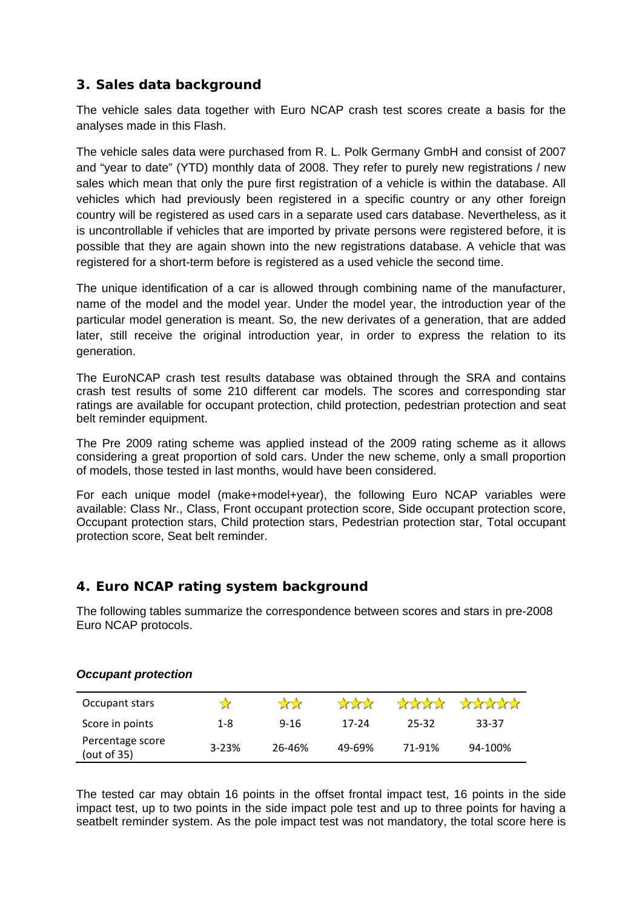## **3. Sales data background**

The vehicle sales data together with Euro NCAP crash test scores create a basis for the analyses made in this Flash.

The vehicle sales data were purchased from R. L. Polk Germany GmbH and consist of 2007 and "year to date" (YTD) monthly data of 2008. They refer to purely new registrations / new sales which mean that only the pure first registration of a vehicle is within the database. All vehicles which had previously been registered in a specific country or any other foreign country will be registered as used cars in a separate used cars database. Nevertheless, as it is uncontrollable if vehicles that are imported by private persons were registered before, it is possible that they are again shown into the new registrations database. A vehicle that was registered for a short-term before is registered as a used vehicle the second time.

The unique identification of a car is allowed through combining name of the manufacturer, name of the model and the model year. Under the model year, the introduction year of the particular model generation is meant. So, the new derivates of a generation, that are added later, still receive the original introduction year, in order to express the relation to its generation.

The EuroNCAP crash test results database was obtained through the SRA and contains crash test results of some 210 different car models. The scores and corresponding star ratings are available for occupant protection, child protection, pedestrian protection and seat belt reminder equipment.

The Pre 2009 rating scheme was applied instead of the 2009 rating scheme as it allows considering a great proportion of sold cars. Under the new scheme, only a small proportion of models, those tested in last months, would have been considered.

For each unique model (make+model+year), the following Euro NCAP variables were available: Class Nr., Class, Front occupant protection score, Side occupant protection score, Occupant protection stars, Child protection stars, Pedestrian protection star, Total occupant protection score, Seat belt reminder.

## **4. Euro NCAP rating system background**

The following tables summarize the correspondence between scores and stars in pre-2008 Euro NCAP protocols.

| Occupant stars                  |           | 777      | $\frac{1}{2}$ | <b>Andrew</b> | <b>Anthra</b> |
|---------------------------------|-----------|----------|---------------|---------------|---------------|
| Score in points                 | $1 - 8$   | $9 - 16$ | 17-24         | 25-32         | 33-37         |
| Percentage score<br>(out of 35) | $3 - 23%$ | 26-46%   | 49-69%        | 71-91%        | 94-100%       |

#### *Occupant protection*

The tested car may obtain 16 points in the offset frontal impact test, 16 points in the side impact test, up to two points in the side impact pole test and up to three points for having a seatbelt reminder system. As the pole impact test was not mandatory, the total score here is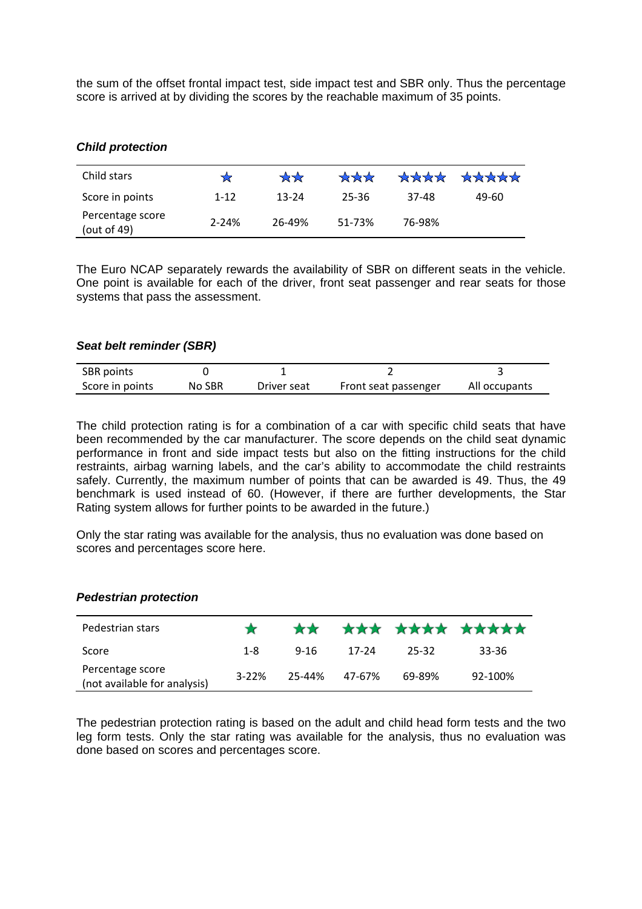the sum of the offset frontal impact test, side impact test and SBR only. Thus the percentage score is arrived at by dividing the scores by the reachable maximum of 35 points.

#### *Child protection*

| Child stars                        |           | $\mathbf{X} \mathbf{X}$ | $\mathbf{X} \times \mathbf{X}$ | ****   | ***** |
|------------------------------------|-----------|-------------------------|--------------------------------|--------|-------|
| Score in points                    | $1 - 12$  | 13-24                   | 25-36                          | 37-48  | 49-60 |
| Percentage score<br>(out of $49$ ) | $2 - 24%$ | 26-49%                  | 51-73%                         | 76-98% |       |

The Euro NCAP separately rewards the availability of SBR on different seats in the vehicle. One point is available for each of the driver, front seat passenger and rear seats for those systems that pass the assessment.

#### *Seat belt reminder (SBR)*

| <b>SBR</b> points |        |             |                      |               |
|-------------------|--------|-------------|----------------------|---------------|
| Score in points   | No SBR | Driver seat | Front seat passenger | All occupants |

The child protection rating is for a combination of a car with specific child seats that have been recommended by the car manufacturer. The score depends on the child seat dynamic performance in front and side impact tests but also on the fitting instructions for the child restraints, airbag warning labels, and the car's ability to accommodate the child restraints safely. Currently, the maximum number of points that can be awarded is 49. Thus, the 49 benchmark is used instead of 60. (However, if there are further developments, the Star Rating system allows for further points to be awarded in the future.)

Only the star rating was available for the analysis, thus no evaluation was done based on scores and percentages score here.

#### *Pedestrian protection*

| Pedestrian stars                                 |           |        |        |        | ** *** **** ***** |
|--------------------------------------------------|-----------|--------|--------|--------|-------------------|
| Score                                            | 1-8       | 9-16   | 17-24  | 25-32  | 33-36             |
| Percentage score<br>(not available for analysis) | $3 - 22%$ | 25-44% | 47-67% | 69-89% | 92-100%           |

The pedestrian protection rating is based on the adult and child head form tests and the two leg form tests. Only the star rating was available for the analysis, thus no evaluation was done based on scores and percentages score.